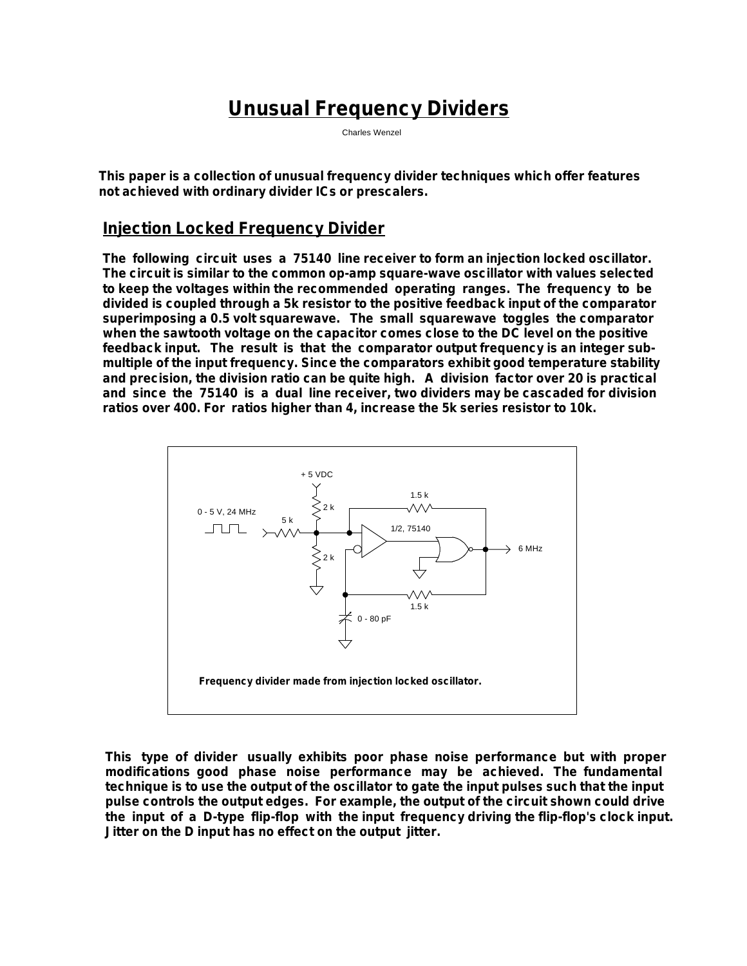# **Unusual Frequency Dividers**

Charles Wenzel

**This paper is a collection of unusual frequency divider techniques which offer features not achieved with ordinary divider ICs or prescalers.**

### **Injection Locked Frequency Divider**

**The following circuit uses a 75140 line receiver to form an injection locked oscillator. The circuit is similar to the common op-amp square-wave oscillator with values selected to keep the voltages within the recommended operating ranges. The frequency to be divided is coupled through a 5k resistor to the positive feedback input of the comparator superimposing a 0.5 volt squarewave. The small squarewave toggles the comparator when the sawtooth voltage on the capacitor comes close to the DC level on the positive feedback input. The result is that the comparator output frequency is an integer submultiple of the input frequency. Since the comparators exhibit good temperature stability and precision, the division ratio can be quite high. A division factor over 20 is practical and since the 75140 is a dual line receiver, two dividers may be cascaded for division ratios over 400. For ratios higher than 4, increase the 5k series resistor to 10k.** 



**This type of divider usually exhibits poor phase noise performance but with proper modifications good phase noise performance may be achieved. The fundamental technique is to use the output of the oscillator to gate the input pulses such that the input pulse controls the output edges. For example, the output of the circuit shown could drive the input of a D-type flip-flop with the input frequency driving the flip-flop's clock input. Jitter on the D input has no effect on the output jitter.**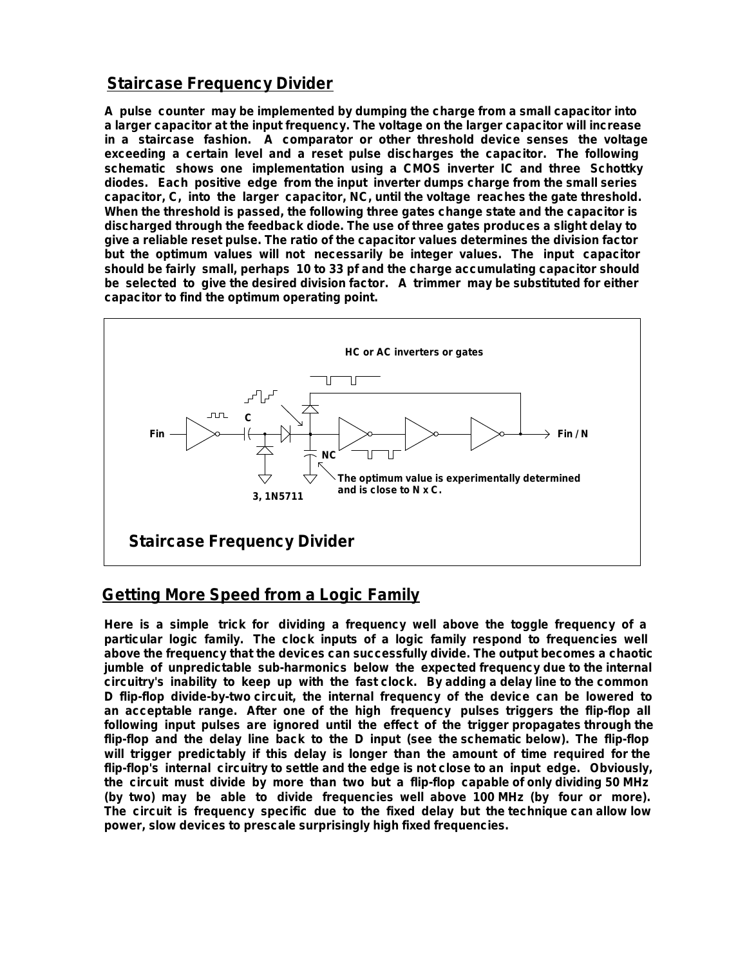## **Staircase Frequency Divider**

**A pulse counter may be implemented by dumping the charge from a small capacitor into a larger capacitor at the input frequency. The voltage on the larger capacitor will increase in a staircase fashion. A comparator or other threshold device senses the voltage exceeding a certain level and a reset pulse discharges the capacitor. The following schematic shows one implementation using a CMOS inverter IC and three Schottky diodes. Each positive edge from the input inverter dumps charge from the small series capacitor, C, into the larger capacitor, NC, until the voltage reaches the gate threshold. When the threshold is passed, the following three gates change state and the capacitor is discharged through the feedback diode. The use of three gates produces a slight delay to give a reliable reset pulse. The ratio of the capacitor values determines the division factor but the optimum values will not necessarily be integer values. The input capacitor should be fairly small, perhaps 10 to 33 pf and the charge accumulating capacitor should be selected to give the desired division factor. A trimmer may be substituted for either capacitor to find the optimum operating point.**



## **Getting More Speed from a Logic Family**

**Here is a simple trick for dividing a frequency well above the toggle frequency of a particular logic family. The clock inputs of a logic family respond to frequencies well above the frequency that the devices can successfully divide. The output becomes a chaotic jumble of unpredictable sub-harmonics below the expected frequency due to the internal circuitry's inability to keep up with the fast clock. By adding a delay line to the common D flip-flop divide-by-two circuit, the internal frequency of the device can be lowered to an acceptable range. After one of the high frequency pulses triggers the flip-flop all following input pulses are ignored until the effect of the trigger propagates through the flip-flop and the delay line back to the D input (see the schematic below). The flip-flop will trigger predictably if this delay is longer than the amount of time required for the flip-flop's internal circuitry to settle and the edge is not close to an input edge. Obviously, the circuit must divide by more than two but a flip-flop capable of only dividing 50 MHz (by two) may be able to divide frequencies well above 100 MHz (by four or more). The circuit is frequency specific due to the fixed delay but the technique can allow low power, slow devices to prescale surprisingly high fixed frequencies.**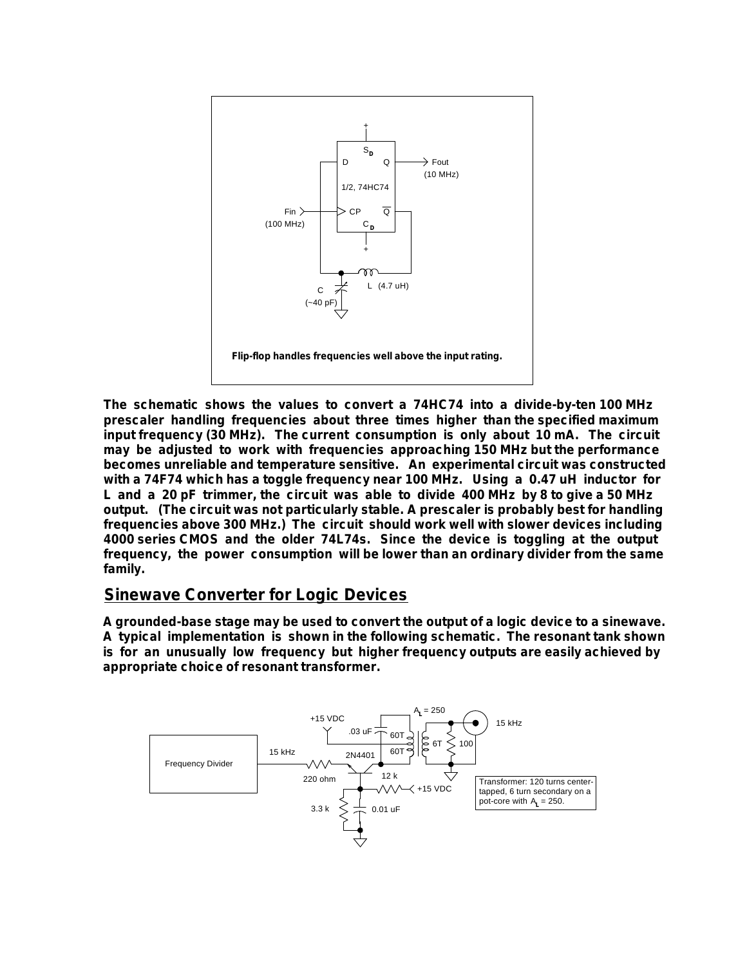

**The schematic shows the values to convert a 74HC74 into a divide-by-ten 100 MHz prescaler handling frequencies about three times higher than the specified maximum input frequency (30 MHz). The current consumption is only about 10 mA. The circuit may be adjusted to work with frequencies approaching 150 MHz but the performance becomes unreliable and temperature sensitive. An experimental circuit was constructed with a 74F74 which has a toggle frequency near 100 MHz. Using a 0.47 uH inductor for L and a 20 pF trimmer, the circuit was able to divide 400 MHz by 8 to give a 50 MHz output. (The circuit was not particularly stable. A prescaler is probably best for handling frequencies above 300 MHz.) The circuit should work well with slower devices including 4000 series CMOS and the older 74L74s. Since the device is toggling at the output frequency, the power consumption will be lower than an ordinary divider from the same family.** 

### **Sinewave Converter for Logic Devices**

**A grounded-base stage may be used to convert the output of a logic device to a sinewave. A typical implementation is shown in the following schematic. The resonant tank shown is for an unusually low frequency but higher frequency outputs are easily achieved by appropriate choice of resonant transformer.**